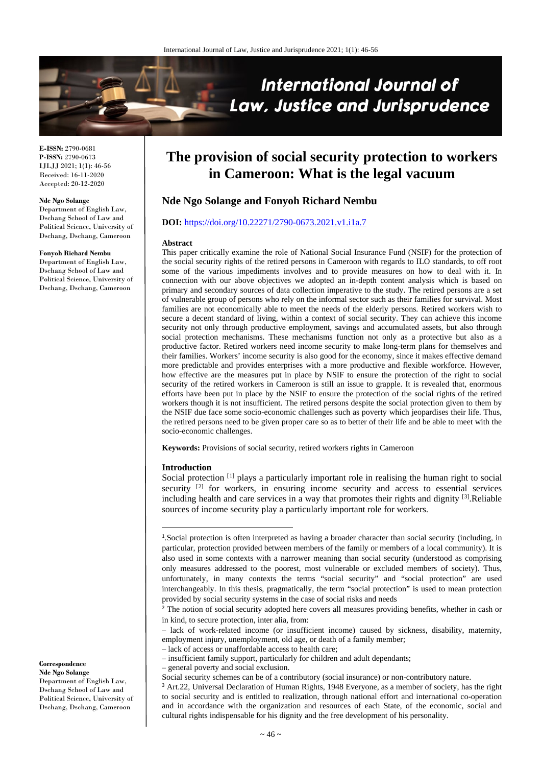

**E-ISSN:** 2790-0681 **P-ISSN:** 2790-0673 IJLJJ 2021; 1(1): 46-56 Received: 16-11-2020 Accepted: 20-12-2020

#### **Nde Ngo Solange**

Department of English Law, Dschang School of Law and Political Science, University of Dschang, Dschang, Cameroon

### **Fonyoh Richard Nembu**

Department of English Law, Dschang School of Law and Political Science, University of Dschang, Dschang, Cameroon

**The provision of social security protection to workers in Cameroon: What is the legal vacuum**

# **Nde Ngo Solange and Fonyoh Richard Nembu**

#### **DOI:** <https://doi.org/10.22271/2790-0673.2021.v1.i1a.7>

#### **Abstract**

This paper critically examine the role of National Social Insurance Fund (NSIF) for the protection of the social security rights of the retired persons in Cameroon with regards to ILO standards, to off root some of the various impediments involves and to provide measures on how to deal with it. In connection with our above objectives we adopted an in-depth content analysis which is based on primary and secondary sources of data collection imperative to the study. The retired persons are a set of vulnerable group of persons who rely on the informal sector such as their families for survival. Most families are not economically able to meet the needs of the elderly persons. Retired workers wish to secure a decent standard of living, within a context of social security. They can achieve this income security not only through productive employment, savings and accumulated assets, but also through social protection mechanisms. These mechanisms function not only as a protective but also as a productive factor. Retired workers need income security to make long-term plans for themselves and their families. Workers' income security is also good for the economy, since it makes effective demand more predictable and provides enterprises with a more productive and flexible workforce. However, how effective are the measures put in place by NSIF to ensure the protection of the right to social security of the retired workers in Cameroon is still an issue to grapple. It is revealed that, enormous efforts have been put in place by the NSIF to ensure the protection of the social rights of the retired workers though it is not insufficient. The retired persons despite the social protection given to them by the NSIF due face some socio-economic challenges such as poverty which jeopardises their life. Thus, the retired persons need to be given proper care so as to better of their life and be able to meet with the socio-economic challenges.

**Keywords:** Provisions of social security, retired workers rights in Cameroon

#### **Introduction**

Social protection <sup>[[1\]](#page-0-0)</sup> plays a particularly important role in realising the human right to social security <sup>[[2](#page-0-1)]</sup> for workers, in ensuring income security and access to essential services including health and care services in a way that promotes their rights and dignity [[3\]](#page-0-2). Reliable sources of income security play a particularly important role for workers.

– lack of work-related income (or insufficient income) caused by sickness, disability, maternity, employment injury, unemployment, old age, or death of a family member;

– lack of access or unaffordable access to health care;

- insufficient family support, particularly for children and adult dependants;
- general poverty and social exclusion.

Social security schemes can be of a contributory (social insurance) or non-contributory nature.

<sup>3</sup> Art.22, Universal Declaration of Human Rights, 1948 Everyone, as a member of society, has the right to social security and is entitled to realization, through national effort and international co-operation and in accordance with the organization and resources of each State, of the economic, social and cultural rights indispensable for his dignity and the free development of his personality.

<span id="page-0-2"></span><span id="page-0-1"></span><span id="page-0-0"></span>**Correspondence Nde Ngo Solange** Department of English Law, Dschang School of Law and Political Science, University of Dschang, Dschang, Cameroon

 <sup>1</sup>.Social protection is often interpreted as having a broader character than social security (including, in particular, protection provided between members of the family or members of a local community). It is also used in some contexts with a narrower meaning than social security (understood as comprising only measures addressed to the poorest, most vulnerable or excluded members of society). Thus, unfortunately, in many contexts the terms "social security" and "social protection" are used interchangeably. In this thesis, pragmatically, the term "social protection" is used to mean protection provided by social security systems in the case of social risks and needs

<sup>&</sup>lt;sup>2</sup> The notion of social security adopted here covers all measures providing benefits, whether in cash or in kind, to secure protection, inter alia, from: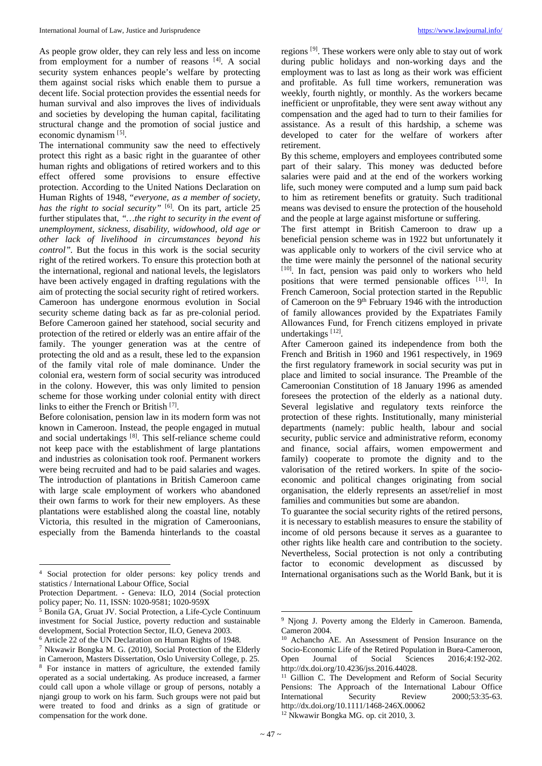As people grow older, they can rely less and less on income from employment for a number of reasons [[4](#page-1-0)]. A social security system enhances people's welfare by protecting them against social risks which enable them to pursue a decent life. Social protection provides the essential needs for human survival and also improves the lives of individuals and societies by developing the human capital, facilitating structural change and the promotion of social justice and economic dynamism [[5\]](#page-1-1).

The international community saw the need to effectively protect this right as a basic right in the guarantee of other human rights and obligations of retired workers and to this effect offered some provisions to ensure effective protection. According to the United Nations Declaration on Human Rights of 1948, "*everyone, as a member of society, has the right to social security"* [[6](#page-1-2)] *.* On its part, article 25 further stipulates that, *"…the right to security in the event of unemployment, sickness, disability, widowhood, old age or other lack of livelihood in circumstances beyond his control".* But the focus in this work is the social security right of the retired workers. To ensure this protection both at the international, regional and national levels, the legislators have been actively engaged in drafting regulations with the aim of protecting the social security right of retired workers. Cameroon has undergone enormous evolution in Social security scheme dating back as far as pre-colonial period. Before Cameroon gained her statehood, social security and protection of the retired or elderly was an entire affair of the family. The younger generation was at the centre of protecting the old and as a result, these led to the expansion of the family vital role of male dominance. Under the colonial era, western form of social security was introduced in the colony. However, this was only limited to pension scheme for those working under colonial entity with direct links to either the French or British<sup>[[7](#page-1-3)]</sup>.

Before colonisation, pension law in its modern form was not known in Cameroon. Instead, the people engaged in mutual and social undertakings [[8\]](#page-1-4). This self-reliance scheme could not keep pace with the establishment of large plantations and industries as colonisation took roof. Permanent workers were being recruited and had to be paid salaries and wages. The introduction of plantations in British Cameroon came with large scale employment of workers who abandoned their own farms to work for their new employers. As these plantations were established along the coastal line, notably Victoria, this resulted in the migration of Cameroonians, especially from the Bamenda hinterlands to the coastal

l

regions<sup>[[9](#page-1-5)]</sup>. These workers were only able to stay out of work during public holidays and non-working days and the employment was to last as long as their work was efficient and profitable. As full time workers, remuneration was weekly, fourth nightly, or monthly. As the workers became inefficient or unprofitable, they were sent away without any compensation and the aged had to turn to their families for assistance. As a result of this hardship, a scheme was developed to cater for the welfare of workers after retirement.

By this scheme, employers and employees contributed some part of their salary. This money was deducted before salaries were paid and at the end of the workers working life, such money were computed and a lump sum paid back to him as retirement benefits or gratuity. Such traditional means was devised to ensure the protection of the household and the people at large against misfortune or suffering.

The first attempt in British Cameroon to draw up a beneficial pension scheme was in 1922 but unfortunately it was applicable only to workers of the civil service who at the time were mainly the personnel of the national security [[10](#page-1-2)]. In fact, pension was paid only to workers who held positions that were termed pensionable offices [[11](#page-1-6)]. In French Cameroon, Social protection started in the Republic of Cameroon on the 9<sup>th</sup> February 1946 with the introduction of family allowances provided by the Expatriates Family Allowances Fund, for French citizens employed in private undertakings<sup>[[12](#page-1-7)]</sup>.

After Cameroon gained its independence from both the French and British in 1960 and 1961 respectively, in 1969 the first regulatory framework in social security was put in place and limited to social insurance. The Preamble of the Cameroonian Constitution of 18 January 1996 as amended foresees the protection of the elderly as a national duty. Several legislative and regulatory texts reinforce the protection of these rights. Institutionally, many ministerial departments (namely: public health, labour and social security, public service and administrative reform, economy and finance, social affairs, women empowerment and family) cooperate to promote the dignity and to the valorisation of the retired workers. In spite of the socioeconomic and political changes originating from social organisation, the elderly represents an asset/relief in most families and communities but some are abandon.

To guarantee the social security rights of the retired persons, it is necessary to establish measures to ensure the stability of income of old persons because it serves as a guarantee to other rights like health care and contribution to the society. Nevertheless, Social protection is not only a contributing factor to economic development as discussed by International organisations such as the World Bank, but it is

<u>.</u>

<span id="page-1-0"></span><sup>4</sup> Social protection for older persons: key policy trends and statistics / International Labour Office, Social

Protection Department. - Geneva: ILO, 2014 (Social protection policy paper; No. 11, ISSN: 1020-9581; 1020-959X

<span id="page-1-5"></span><span id="page-1-1"></span><sup>5</sup> Bonila GA, Gruat JV. Social Protection, a Life-Cycle Continuum investment for Social Justice, poverty reduction and sustainable development, Social Protection Sector, ILO, Geneva 2003.

<span id="page-1-2"></span><sup>6</sup> Article 22 of the UN Declaration on Human Rights of 1948.

<span id="page-1-7"></span><span id="page-1-6"></span><span id="page-1-4"></span><span id="page-1-3"></span><sup>7</sup> Nkwawir Bongka M. G. (2010), Social Protection of the Elderly in Cameroon, Masters Dissertation, Oslo University College, p. 25. <sup>8</sup> For instance in matters of agriculture, the extended family operated as a social undertaking. As produce increased, a farmer could call upon a whole village or group of persons, notably a njangi group to work on his farm. Such groups were not paid but were treated to food and drinks as a sign of gratitude or compensation for the work done.

<sup>9</sup> Njong J. Poverty among the Elderly in Cameroon. Bamenda, Cameron 2004.

<sup>10</sup> Achancho AE. An Assessment of Pension Insurance on the Socio-Economic Life of the Retired Population in Buea-Cameroon, Open Journal of Social Sciences 2016;4:192-202. http://dx.doi.org/10.4236/jss.2016.44028.

<sup>&</sup>lt;sup>11</sup> Gillion C. The Development and Reform of Social Security Pensions: The Approach of the International Labour Office International Security Review 2000;53:35-63. http://dx.doi.org/10.1111/1468-246X.00062 <sup>12</sup> Nkwawir Bongka MG. op. cit 2010, 3.

 $\sim$  47  $\sim$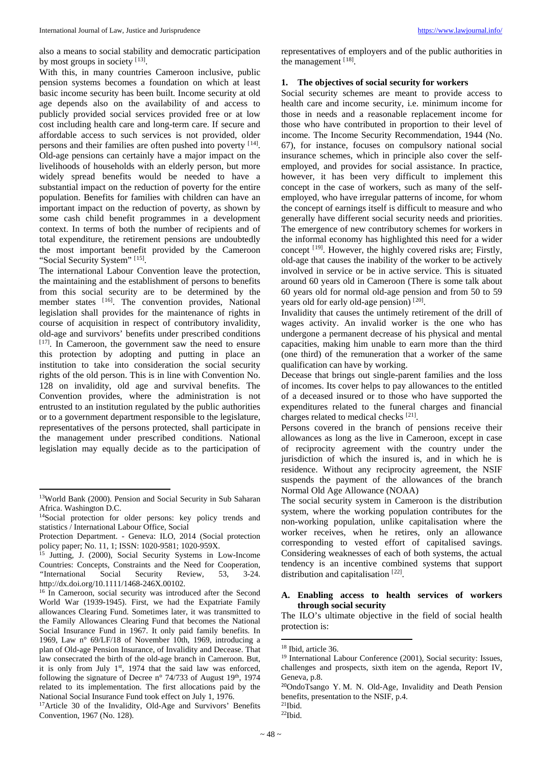also a means to social stability and democratic participation by most groups in society [[13\]](#page-2-0).

With this, in many countries Cameroon inclusive, public pension systems becomes a foundation on which at least basic income security has been built. Income security at old age depends also on the availability of and access to publicly provided social services provided free or at low cost including health care and long-term care. If secure and affordable access to such services is not provided, older persons and their families are often pushed into poverty [[14\]](#page-2-1). Old-age pensions can certainly have a major impact on the livelihoods of households with an elderly person, but more widely spread benefits would be needed to have a substantial impact on the reduction of poverty for the entire population. Benefits for families with children can have an important impact on the reduction of poverty, as shown by some cash child benefit programmes in a development context. In terms of both the number of recipients and of total expenditure, the retirement pensions are undoubtedly the most important benefit provided by the Cameroon "Social Security System" [[15](#page-2-2)].

The international Labour Convention leave the protection, the maintaining and the establishment of persons to benefits from this social security are to be determined by the member states [[16\]](#page-2-3) . The convention provides, National legislation shall provides for the maintenance of rights in course of acquisition in respect of contributory invalidity, old-age and survivors' benefits under prescribed conditions [[17](#page-2-4)]. In Cameroon, the government saw the need to ensure this protection by adopting and putting in place an institution to take into consideration the social security rights of the old person. This is in line with Convention No. 128 on invalidity, old age and survival benefits. The Convention provides, where the administration is not entrusted to an institution regulated by the public authorities or to a government department responsible to the legislature, representatives of the persons protected, shall participate in the management under prescribed conditions. National legislation may equally decide as to the participation of

 $\overline{\phantom{a}}$ 

<span id="page-2-8"></span><span id="page-2-7"></span><span id="page-2-6"></span><span id="page-2-4"></span>17Article 30 of the Invalidity, Old-Age and Survivors' Benefits Convention, 1967 (No. 128).

representatives of employers and of the public authorities in the management [[18\]](#page-2-5).

### **1. The objectives of social security for workers**

Social security schemes are meant to provide access to health care and income security, i.e. minimum income for those in needs and a reasonable replacement income for those who have contributed in proportion to their level of income. The Income Security Recommendation, 1944 (No. 67), for instance, focuses on compulsory national social insurance schemes, which in principle also cover the selfemployed, and provides for social assistance. In practice, however, it has been very difficult to implement this concept in the case of workers, such as many of the selfemployed, who have irregular patterns of income, for whom the concept of earnings itself is difficult to measure and who generally have different social security needs and priorities. The emergence of new contributory schemes for workers in the informal economy has highlighted this need for a wider concept <sup>[[19\]](#page-2-6)</sup>. However, the highly covered risks are; Firstly, old-age that causes the inability of the worker to be actively involved in service or be in active service. This is situated around 60 years old in Cameroon (There is some talk about 60 years old for normal old-age pension and from 50 to 59 years old for early old-age pension)<sup>[[20](#page-2-7)]</sup>.

Invalidity that causes the untimely retirement of the drill of wages activity. An invalid worker is the one who has undergone a permanent decrease of his physical and mental capacities, making him unable to earn more than the third (one third) of the remuneration that a worker of the same qualification can have by working.

Decease that brings out single-parent families and the loss of incomes. Its cover helps to pay allowances to the entitled of a deceased insured or to those who have supported the expenditures related to the funeral charges and financial charges related to medical checks [[21](#page-2-4)].

Persons covered in the branch of pensions receive their allowances as long as the live in Cameroon, except in case of reciprocity agreement with the country under the jurisdiction of which the insured is, and in which he is residence. Without any reciprocity agreement, the NSIF suspends the payment of the allowances of the branch Normal Old Age Allowance (NOAA)

The social security system in Cameroon is the distribution system, where the working population contributes for the non-working population, unlike capitalisation where the worker receives, when he retires, only an allowance corresponding to vested effort of capitalised savings. Considering weaknesses of each of both systems, the actual tendency is an incentive combined systems that support distribution and capitalisation [[22\]](#page-2-8).

## **A. Enabling access to health services of workers through social security**

The ILO's ultimate objective in the field of social health protection is:

<span id="page-2-0"></span><sup>13</sup>World Bank (2000). Pension and Social Security in Sub Saharan Africa. Washington D.C.

<span id="page-2-1"></span><sup>14</sup>Social protection for older persons: key policy trends and statistics / International Labour Office, Social

Protection Department. - Geneva: ILO, 2014 (Social protection policy paper; No. 11, 1; ISSN: 1020-9581; 1020-959X.

<span id="page-2-2"></span><sup>&</sup>lt;sup>15</sup> Jutting, J. (2000), Social Security Systems in Low-Income Countries: Concepts, Constraints and the Need for Cooperation, *"*International Social Security Review, 53, 3-24. http://dx.doi.org/10.1111/1468-246X.00102.

<span id="page-2-5"></span><span id="page-2-3"></span><sup>&</sup>lt;sup>16</sup> In Cameroon, social security was introduced after the Second World War (1939-1945). First, we had the Expatriate Family allowances Clearing Fund. Sometimes later, it was transmitted to the Family Allowances Clearing Fund that becomes the National Social Insurance Fund in 1967. It only paid family benefits. In 1969, Law n° 69/LF/18 of November 10th, 1969, introducing a plan of Old-age Pension Insurance, of Invalidity and Decease. That law consecrated the birth of the old-age branch in Cameroon. But, it is only from July 1<sup>st</sup>, 1974 that the said law was enforced, following the signature of Decree n° 74/733 of August 19<sup>th</sup>, 1974 related to its implementation. The first allocations paid by the National Social Insurance Fund took effect on July 1, 1976.

<sup>18</sup> Ibid, article 36.

<sup>&</sup>lt;sup>19</sup> International Labour Conference (2001), Social security: Issues, challenges and prospects, sixth item on the agenda, Report IV, Geneva, p.8.

<sup>20</sup>OndoTsango Y. M. N. Old-Age, Invalidity and Death Pension benefits, presentation to the NSIF, p.4.

 $21$ Ibid. 22Ibid.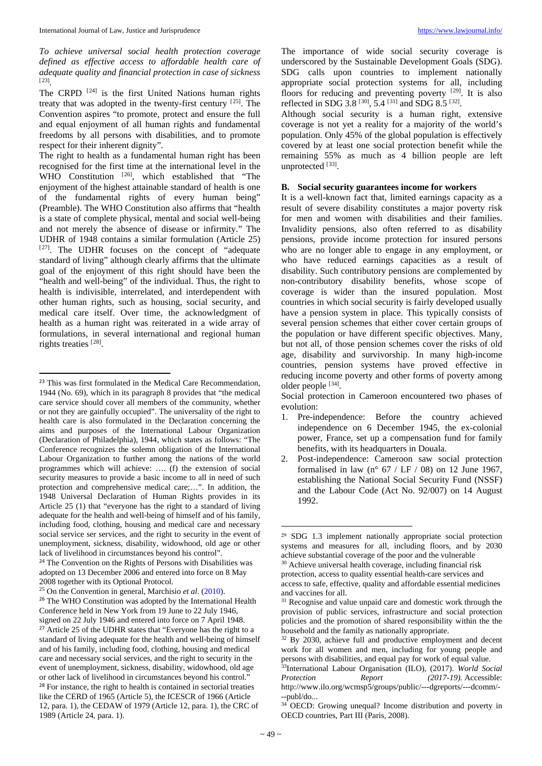*To achieve universal social health protection coverage defined as effective access to affordable health care of adequate quality and financial protection in case of sickness*  [[23](#page-3-0)] *.*

The CRPD <sup>[[24](#page-3-1)]</sup> is the first United Nations human rights treaty that was adopted in the twenty-first century [[25](#page-3-2)] . The Convention aspires "to promote, protect and ensure the full and equal enjoyment of all human rights and fundamental freedoms by all persons with disabilities, and to promote respect for their inherent dignity".

The right to health as a fundamental human right has been recognised for the first time at the international level in the WHO Constitution  $[26]$  $[26]$  $[26]$ , which established that "The enjoyment of the highest attainable standard of health is one of the fundamental rights of every human being" (Preamble). The WHO Constitution also affirms that "health is a state of complete physical, mental and social well-being and not merely the absence of disease or infirmity." The UDHR of 1948 contains a similar formulation (Article 25)  $[27]$  $[27]$  $[27]$ . The UDHR focuses on the concept of "adequate standard of living" although clearly affirms that the ultimate goal of the enjoyment of this right should have been the "health and well-being" of the individual. Thus, the right to health is indivisible, interrelated, and interdependent with other human rights, such as housing, social security, and medical care itself. Over time, the acknowledgment of health as a human right was reiterated in a wide array of formulations, in several international and regional human rights treaties [[28](#page-3-5)].

The importance of wide social security coverage is underscored by the Sustainable Development Goals (SDG). SDG calls upon countries to implement nationally appropriate social protection systems for all, including floors for reducing and preventing poverty  $[29]$  $[29]$ . It is also reflected in SDG 3.8<sup>[[30\]](#page-3-7)</sup>, 5.4<sup>[[31\]](#page-3-8)</sup> and SDG 8.5<sup>[[32](#page-3-9)]</sup>.

Although social security is a human right, extensive coverage is not yet a reality for a majority of the world's population. Only 45% of the global population is effectively covered by at least one social protection benefit while the remaining 55% as much as 4 billion people are left unprotected [[33](#page-3-10)].

# **B. Social security guarantees income for workers**

It is a well-known fact that, limited earnings capacity as a result of severe disability constitutes a major poverty risk for men and women with disabilities and their families. Invalidity pensions, also often referred to as disability pensions, provide income protection for insured persons who are no longer able to engage in any employment, or who have reduced earnings capacities as a result of disability. Such contributory pensions are complemented by non-contributory disability benefits, whose scope of coverage is wider than the insured population. Most countries in which social security is fairly developed usually have a pension system in place. This typically consists of several pension schemes that either cover certain groups of the population or have different specific objectives. Many, but not all, of those pension schemes cover the risks of old age, disability and survivorship. In many high-income countries, pension systems have proved effective in reducing income poverty and other forms of poverty among older people [[34\]](#page-3-11).

Social protection in Cameroon encountered two phases of evolution:

- 1. Pre-independence: Before the country achieved independence on 6 December 1945, the ex-colonial power, France, set up a compensation fund for family benefits, with its headquarters in Douala.
- 2. Post-independence: Cameroon saw social protection formalised in law (n°  $67 / LF / 08$ ) on 12 June 1967, establishing the National Social Security Fund (NSSF) and the Labour Code (Act No. 92/007) on 14 August 1992.

<sup>30</sup> Achieve universal health coverage, including financial risk protection, access to quality essential health-care services and

<span id="page-3-0"></span><sup>&</sup>lt;sup>23</sup> This was first formulated in the Medical Care Recommendation, 1944 (No. 69), which in its paragraph 8 provides that "the medical care service should cover all members of the community, whether or not they are gainfully occupied". The universality of the right to health care is also formulated in the Declaration concerning the aims and purposes of the International Labour Organization (Declaration of Philadelphia), 1944, which states as follows: "The Conference recognizes the solemn obligation of the International Labour Organization to further among the nations of the world programmes which will achieve: …. (f) the extension of social security measures to provide a basic income to all in need of such protection and comprehensive medical care;…". In addition, the 1948 Universal Declaration of Human Rights provides in its Article 25 (1) that "everyone has the right to a standard of living adequate for the health and well-being of himself and of his family, including food, clothing, housing and medical care and necessary social service ser services, and the right to security in the event of unemployment, sickness, disability, widowhood, old age or other lack of livelihood in circumstances beyond his control".

<span id="page-3-7"></span><span id="page-3-6"></span><span id="page-3-1"></span><sup>&</sup>lt;sup>24</sup> The Convention on the Rights of Persons with Disabilities was adopted on 13 December 2006 and entered into force on 8 May 2008 together with its Optional Protocol.

<span id="page-3-2"></span><sup>25</sup> On the Convention in general, Marchisio *et al*. (2010).

<span id="page-3-11"></span><span id="page-3-10"></span><span id="page-3-9"></span><span id="page-3-8"></span><span id="page-3-5"></span><span id="page-3-4"></span><span id="page-3-3"></span><sup>&</sup>lt;sup>26</sup> The WHO Constitution was adopted by the International Health Conference held in New York from 19 June to 22 July 1946, signed on 22 July 1946 and entered into force on 7 April 1948. <sup>27</sup> Article 25 of the UDHR states that "Everyone has the right to a standard of living adequate for the health and well-being of himself and of his family, including food, clothing, housing and medical care and necessary social services, and the right to security in the event of unemployment, sickness, disability, widowhood, old age or other lack of livelihood in circumstances beyond his control." <sup>28</sup> For instance, the right to health is contained in sectorial treaties like the CERD of 1965 (Article 5), the ICESCR of 1966 (Article 12, para. 1), the CEDAW of 1979 (Article 12, para. 1), the CRC of 1989 (Article 24, para. 1).

<sup>29</sup> SDG 1.3 implement nationally appropriate social protection systems and measures for all, including floors, and by 2030 achieve substantial coverage of the poor and the vulnerable

access to safe, effective, quality and affordable essential medicines and vaccines for all.

<sup>&</sup>lt;sup>31</sup> Recognise and value unpaid care and domestic work through the provision of public services, infrastructure and social protection policies and the promotion of shared responsibility within the the household and the family as nationally appropriate.

<sup>&</sup>lt;sup>32</sup> By 2030, achieve full and productive employment and decent work for all women and men, including for young people and persons with disabilities, and equal pay for work of equal value.

<sup>33</sup>International Labour Organisation (ILO), (2017). *World Social Protection Report (2017-19).* Accessible: http://www.ilo.org/wcmsp5/groups/public/---dgreports/---dcomm/- --publ/do...

<sup>&</sup>lt;sup>34</sup> OECD: Growing unequal? Income distribution and poverty in OECD countries, Part III (Paris, 2008).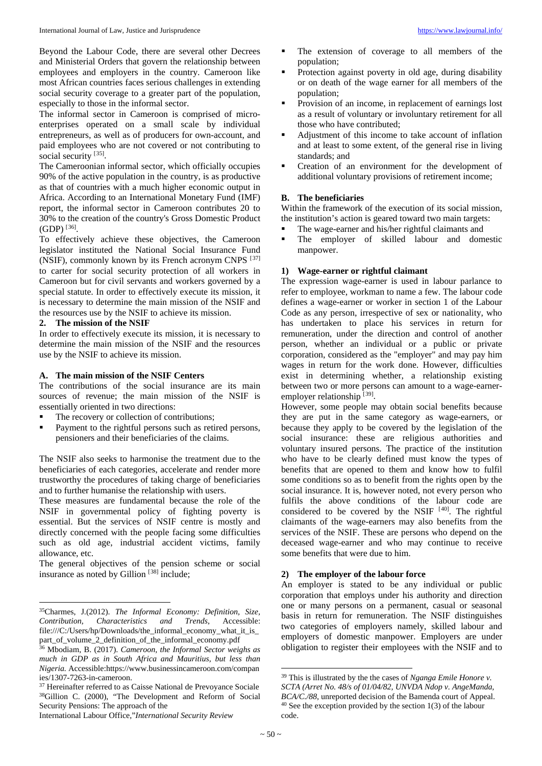Beyond the Labour Code, there are several other Decrees and Ministerial Orders that govern the relationship between employees and employers in the country. Cameroon like most African countries faces serious challenges in extending social security coverage to a greater part of the population, especially to those in the informal sector.

The informal sector in Cameroon is comprised of microenterprises operated on a small scale by individual entrepreneurs, as well as of producers for own-account, and paid employees who are not covered or not contributing to social security [[35](#page-4-0)].

The Cameroonian informal sector, which officially occupies 90% of the active population in the country, is as productive as that of countries with a much higher economic output in Africa. According to an International Monetary Fund (IMF) report, the informal sector in Cameroon contributes 20 to 30% to the creation of the country's Gross Domestic Product  $(GDP)^{[36]}$  $(GDP)^{[36]}$  $(GDP)^{[36]}$ .

To effectively achieve these objectives, the Cameroon legislator instituted the National Social Insurance Fund (NSIF), commonly known by its French acronym CNPS [[37](#page-4-2)] to carter for social security protection of all workers in Cameroon but for civil servants and workers governed by a special statute. In order to effectively execute its mission, it is necessary to determine the main mission of the NSIF and the resources use by the NSIF to achieve its mission.

### **2. The mission of the NSIF**

 $\overline{\phantom{a}}$ 

In order to effectively execute its mission, it is necessary to determine the main mission of the NSIF and the resources use by the NSIF to achieve its mission.

### **A. The main mission of the NSIF Centers**

The contributions of the social insurance are its main sources of revenue; the main mission of the NSIF is essentially oriented in two directions:

- The recovery or collection of contributions;
- Payment to the rightful persons such as retired persons, pensioners and their beneficiaries of the claims.

The NSIF also seeks to harmonise the treatment due to the beneficiaries of each categories, accelerate and render more trustworthy the procedures of taking charge of beneficiaries and to further humanise the relationship with users.

These measures are fundamental because the role of the NSIF in governmental policy of fighting poverty is essential. But the services of NSIF centre is mostly and directly concerned with the people facing some difficulties such as old age, industrial accident victims, family allowance, etc.

The general objectives of the pension scheme or social insurance as noted by Gillion  $[38]$  $[38]$  $[38]$  include;

<span id="page-4-5"></span>International Labour Office,"*International Security Review*

- The extension of coverage to all members of the population;
- Protection against poverty in old age, during disability or on death of the wage earner for all members of the population;
- Provision of an income, in replacement of earnings lost as a result of voluntary or involuntary retirement for all those who have contributed;
- Adjustment of this income to take account of inflation and at least to some extent, of the general rise in living standards; and
- Creation of an environment for the development of additional voluntary provisions of retirement income;

# **B. The beneficiaries**

Within the framework of the execution of its social mission, the institution's action is geared toward two main targets:

- The wage-earner and his/her rightful claimants and
- The employer of skilled labour and domestic manpower.

### **1) Wage-earner or rightful claimant**

The expression wage-earner is used in labour parlance to refer to employee, workman to name a few. The labour code defines a wage-earner or worker in section 1 of the Labour Code as any person, irrespective of sex or nationality, who has undertaken to place his services in return for remuneration, under the direction and control of another person, whether an individual or a public or private corporation, considered as the "employer" and may pay him wages in return for the work done. However, difficulties exist in determining whether, a relationship existing between two or more persons can amount to a wage-earner-employer relationship [[39](#page-4-4)].

However, some people may obtain social benefits because they are put in the same category as wage-earners, or because they apply to be covered by the legislation of the social insurance: these are religious authorities and voluntary insured persons. The practice of the institution who have to be clearly defined must know the types of benefits that are opened to them and know how to fulfil some conditions so as to benefit from the rights open by the social insurance. It is, however noted, not every person who fulfils the above conditions of the labour code are considered to be covered by the NSIF  $[40]$  $[40]$  $[40]$ . The rightful claimants of the wage-earners may also benefits from the services of the NSIF. These are persons who depend on the deceased wage-earner and who may continue to receive some benefits that were due to him.

### **2) The employer of the labour force**

An employer is stated to be any individual or public corporation that employs under his authority and direction one or many persons on a permanent, casual or seasonal basis in return for remuneration. The NSIF distinguishes two categories of employers namely, skilled labour and employers of domestic manpower. Employers are under obligation to register their employees with the NSIF and to

<span id="page-4-0"></span><sup>35</sup>Charmes, J.(2012). *The Informal Economy: Definition, Size, Contribution, Characteristics and Trends*, Accessible: file:///C:/Users/hp/Downloads/the\_informal\_economy\_what\_it\_is\_ part\_of\_volume\_2\_definition\_of\_the\_informal\_economy.pdf

<span id="page-4-1"></span><sup>36</sup> Mbodiam, B. (2017). *Cameroon, the Informal Sector weighs as much in GDP as in South Africa and Mauritius, but less than Nigeria.* Accessible:https://www.businessincameroon.com/compan ies/1307-7263-in-cameroon.

<span id="page-4-4"></span><span id="page-4-3"></span><span id="page-4-2"></span><sup>37</sup> Hereinafter referred to as Caisse National de Prevoyance Sociale 38Gillion C. (2000), "The Development and Reform of Social Security Pensions: The approach of the

<sup>39</sup> This is illustrated by the the cases of *Nganga Emile Honore v. SCTA (Arret No. 48/s of 01/04/82, UNVDA Ndop v. AngeManda, BCA/C./88*, unreported decision of the Bamenda court of Appeal. <sup>40</sup> See the exception provided by the section 1(3) of the labour code.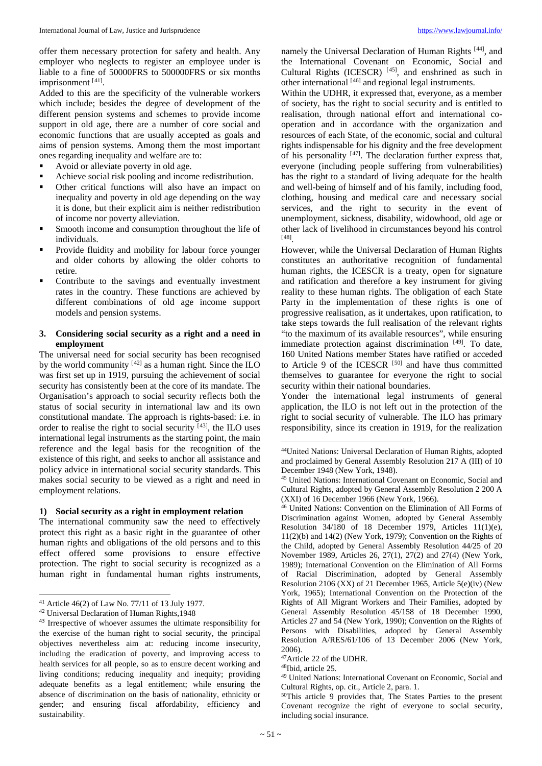offer them necessary protection for safety and health. Any employer who neglects to register an employee under is liable to a fine of 50000FRS to 500000FRS or six months imprisonment [[41](#page-5-0)].

Added to this are the specificity of the vulnerable workers which include; besides the degree of development of the different pension systems and schemes to provide income support in old age, there are a number of core social and economic functions that are usually accepted as goals and aims of pension systems. Among them the most important ones regarding inequality and welfare are to:

- Avoid or alleviate poverty in old age.
- Achieve social risk pooling and income redistribution.
- Other critical functions will also have an impact on inequality and poverty in old age depending on the way it is done, but their explicit aim is neither redistribution of income nor poverty alleviation.
- Smooth income and consumption throughout the life of individuals.
- Provide fluidity and mobility for labour force younger and older cohorts by allowing the older cohorts to retire.
- Contribute to the savings and eventually investment rates in the country. These functions are achieved by different combinations of old age income support models and pension systems.

### **3. Considering social security as a right and a need in employment**

The universal need for social security has been recognised by the world community  $[42]$  $[42]$  as a human right. Since the ILO was first set up in 1919, pursuing the achievement of social security has consistently been at the core of its mandate. The Organisation's approach to social security reflects both the status of social security in international law and its own constitutional mandate. The approach is rights-based: i.e. in order to realise the right to social security <sup>[[43](#page-5-2)]</sup>, the ILO uses international legal instruments as the starting point, the main reference and the legal basis for the recognition of the existence of this right, and seeks to anchor all assistance and policy advice in international social security standards. This makes social security to be viewed as a right and need in employment relations.

# <span id="page-5-5"></span><span id="page-5-4"></span><span id="page-5-3"></span>**1) Social security as a right in employment relation**

The international community saw the need to effectively protect this right as a basic right in the guarantee of other human rights and obligations of the old persons and to this effect offered some provisions to ensure effective protection. The right to social security is recognized as a human right in fundamental human rights instruments,

 $\overline{a}$ 

namely the Universal Declaration of Human Rights<sup>[[44](#page-5-3)]</sup>, and the International Covenant on Economic, Social and Cultural Rights (ICESCR)  $[45]$  $[45]$  $[45]$ , and enshrined as such in other international [[46](#page-5-5)] and regional legal instruments.

Within the UDHR, it expressed that, everyone, as a member of society, has the right to social security and is entitled to realisation, through national effort and international cooperation and in accordance with the organization and resources of each State, of the economic, social and cultural rights indispensable for his dignity and the free development of his personality  $[47]$  $[47]$  $[47]$ . The declaration further express that, everyone (including people suffering from vulnerabilities) has the right to a standard of living adequate for the health and well-being of himself and of his family, including food, clothing, housing and medical care and necessary social services, and the right to security in the event of unemployment, sickness, disability, widowhood, old age or other lack of livelihood in circumstances beyond his control [[48](#page-5-7)] .

However, while the Universal Declaration of Human Rights constitutes an authoritative recognition of fundamental human rights, the ICESCR is a treaty, open for signature and ratification and therefore a key instrument for giving reality to these human rights. The obligation of each State Party in the implementation of these rights is one of progressive realisation, as it undertakes, upon ratification, to take steps towards the full realisation of the relevant rights "to the maximum of its available resources", while ensuring immediate protection against discrimination [[49](#page-5-8)]. To date, 160 United Nations member States have ratified or acceded to Article 9 of the ICESCR  $[50]$  $[50]$  $[50]$  and have thus committed themselves to guarantee for everyone the right to social security within their national boundaries.

Yonder the international legal instruments of general application, the ILO is not left out in the protection of the right to social security of vulnerable. The ILO has primary responsibility, since its creation in 1919, for the realization

<span id="page-5-0"></span><sup>&</sup>lt;sup>41</sup> Article 46(2) of Law No. 77/11 of 13 July 1977.<br><sup>42</sup> Universal Declaration of Human Rights,1948

<span id="page-5-1"></span>

<span id="page-5-9"></span><span id="page-5-8"></span><span id="page-5-7"></span><span id="page-5-6"></span><span id="page-5-2"></span><sup>43</sup> Irrespective of whoever assumes the ultimate responsibility for the exercise of the human right to social security, the principal objectives nevertheless aim at: reducing income insecurity, including the eradication of poverty, and improving access to health services for all people, so as to ensure decent working and living conditions; reducing inequality and inequity; providing adequate benefits as a legal entitlement; while ensuring the absence of discrimination on the basis of nationality, ethnicity or gender; and ensuring fiscal affordability, efficiency and sustainability.

<sup>44</sup>United Nations: Universal Declaration of Human Rights, adopted and proclaimed by General Assembly Resolution 217 A (III) of 10 December 1948 (New York, 1948).

<sup>45</sup> United Nations: International Covenant on Economic, Social and Cultural Rights, adopted by General Assembly Resolution 2 200 A (XXI) of 16 December 1966 (New York, 1966).

<sup>46</sup> United Nations: Convention on the Elimination of All Forms of Discrimination against Women, adopted by General Assembly Resolution 34/180 of 18 December 1979, Articles 11(1)(e), 11(2)(b) and 14(2) (New York, 1979); Convention on the Rights of the Child, adopted by General Assembly Resolution 44/25 of 20 November 1989, Articles 26, 27(1), 27(2) and 27(4) (New York, 1989); International Convention on the Elimination of All Forms of Racial Discrimination, adopted by General Assembly Resolution 2106 (XX) of 21 December 1965, Article 5(e)(iv) (New York, 1965); International Convention on the Protection of the Rights of All Migrant Workers and Their Families, adopted by General Assembly Resolution 45/158 of 18 December 1990, Articles 27 and 54 (New York, 1990); Convention on the Rights of Persons with Disabilities, adopted by General Assembly Resolution A/RES/61/106 of 13 December 2006 (New York, 2006).

<sup>47</sup>Article 22 of the UDHR.

<sup>48</sup>Ibid, article 25.

<sup>49</sup> United Nations: International Covenant on Economic, Social and Cultural Rights, op. cit., Article 2, para. 1.

<sup>50</sup>This article 9 provides that, The States Parties to the present Covenant recognize the right of everyone to social security, including social insurance.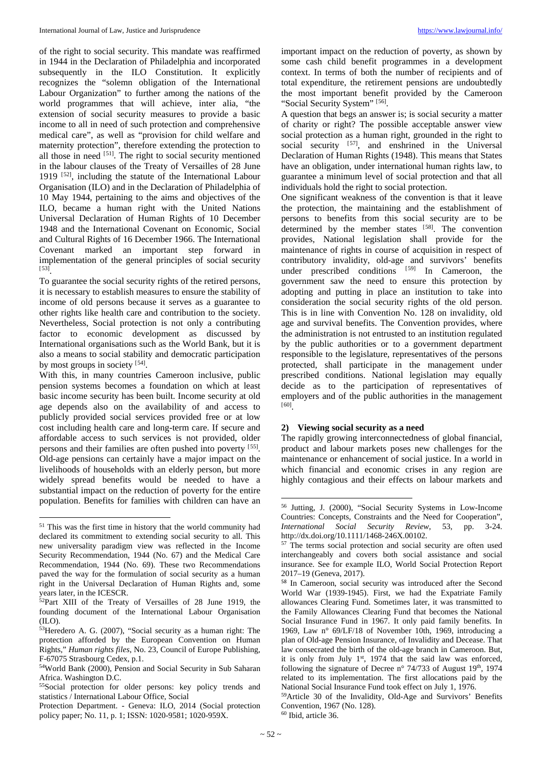of the right to social security. This mandate was reaffirmed in 1944 in the Declaration of Philadelphia and incorporated subsequently in the ILO Constitution. It explicitly recognizes the "solemn obligation of the International Labour Organization" to further among the nations of the world programmes that will achieve, inter alia, "the extension of social security measures to provide a basic income to all in need of such protection and comprehensive medical care", as well as "provision for child welfare and maternity protection", therefore extending the protection to all those in need <sup>[[51\]](#page-6-0)</sup>. The right to social security mentioned in the labour clauses of the Treaty of Versailles of 28 June 1919<sup>[[52](#page-6-1)]</sup>, including the statute of the International Labour Organisation (ILO) and in the Declaration of Philadelphia of 10 May 1944, pertaining to the aims and objectives of the ILO, became a human right with the United Nations Universal Declaration of Human Rights of 10 December 1948 and the International Covenant on Economic, Social and Cultural Rights of 16 December 1966. The International Covenant marked an important step forward in implementation of the general principles of social security [[53](#page-6-2)] .

To guarantee the social security rights of the retired persons, it is necessary to establish measures to ensure the stability of income of old persons because it serves as a guarantee to other rights like health care and contribution to the society. Nevertheless, Social protection is not only a contributing factor to economic development as discussed by International organisations such as the World Bank, but it is also a means to social stability and democratic participation by most groups in society [[54\]](#page-6-3).

With this, in many countries Cameroon inclusive, public pension systems becomes a foundation on which at least basic income security has been built. Income security at old age depends also on the availability of and access to publicly provided social services provided free or at low cost including health care and long-term care. If secure and affordable access to such services is not provided, older persons and their families are often pushed into poverty [[55\]](#page-6-4). Old-age pensions can certainly have a major impact on the livelihoods of households with an elderly person, but more widely spread benefits would be needed to have a substantial impact on the reduction of poverty for the entire population. Benefits for families with children can have an

<span id="page-6-5"></span>l

important impact on the reduction of poverty, as shown by some cash child benefit programmes in a development context. In terms of both the number of recipients and of total expenditure, the retirement pensions are undoubtedly the most important benefit provided by the Cameroon "Social Security System" [[56](#page-6-5)].

A question that begs an answer is; is social security a matter of charity or right? The possible acceptable answer view social protection as a human right, grounded in the right to social security <sup>[[57](#page-6-6)]</sup>, and enshrined in the Universal Declaration of Human Rights (1948). This means that States have an obligation, under international human rights law, to guarantee a minimum level of social protection and that all individuals hold the right to social protection.

One significant weakness of the convention is that it leave the protection, the maintaining and the establishment of persons to benefits from this social security are to be determined by the member states [[58](#page-6-7)]. The convention provides, National legislation shall provide for the maintenance of rights in course of acquisition in respect of contributory invalidity, old-age and survivors' benefits under prescribed conditions [[59\]](#page-6-8) In Cameroon, the government saw the need to ensure this protection by adopting and putting in place an institution to take into consideration the social security rights of the old person. This is in line with Convention No. 128 on invalidity, old age and survival benefits. The Convention provides, where the administration is not entrusted to an institution regulated by the public authorities or to a government department responsible to the legislature, representatives of the persons protected, shall participate in the management under prescribed conditions. National legislation may equally decide as to the participation of representatives of employers and of the public authorities in the management [[60](#page-6-9)] .

# **2) Viewing social security as a need**

The rapidly growing interconnectedness of global financial, product and labour markets poses new challenges for the maintenance or enhancement of social justice. In a world in which financial and economic crises in any region are highly contagious and their effects on labour markets and

<span id="page-6-6"></span><span id="page-6-0"></span><sup>51</sup> This was the first time in history that the world community had declared its commitment to extending social security to all. This new universality paradigm view was reflected in the Income Security Recommendation, 1944 (No. 67) and the Medical Care Recommendation, 1944 (No. 69). These two Recommendations paved the way for the formulation of social security as a human right in the Universal Declaration of Human Rights and, some years later, in the ICESCR.

<span id="page-6-7"></span><span id="page-6-1"></span><sup>&</sup>lt;sup>52</sup>Part XIII of the Treaty of Versailles of 28 June 1919, the founding document of the International Labour Organisation (ILO).

<span id="page-6-2"></span><sup>53</sup>Heredero A. G. (2007), "Social security as a human right: The protection afforded by the European Convention on Human Rights," *Human rights files*, No. 23, Council of Europe Publishing, F-67075 Strasbourg Cedex, p.1.

<span id="page-6-3"></span><sup>54</sup>World Bank (2000), Pension and Social Security in Sub Saharan Africa. Washington D.C.

<span id="page-6-4"></span><sup>55</sup>Social protection for older persons: key policy trends and statistics / International Labour Office, Social

<span id="page-6-9"></span><span id="page-6-8"></span>Protection Department. - Geneva: ILO, 2014 (Social protection policy paper; No. 11, p. 1; ISSN: 1020-9581; 1020-959X.

<sup>56</sup> Jutting, J. (2000), "Social Security Systems in Low-Income Countries: Concepts, Constraints and the Need for Cooperation", *International Social Security Review*, 53, pp. 3-24. http://dx.doi.org/10.1111/1468-246X.00102.

<sup>&</sup>lt;sup>57</sup> The terms social protection and social security are often used interchangeably and covers both social assistance and social insurance. See for example ILO, World Social Protection Report 2017–19 (Geneva, 2017).

<sup>58</sup> In Cameroon, social security was introduced after the Second World War (1939-1945). First, we had the Expatriate Family allowances Clearing Fund. Sometimes later, it was transmitted to the Family Allowances Clearing Fund that becomes the National Social Insurance Fund in 1967. It only paid family benefits. In 1969, Law n° 69/LF/18 of November 10th, 1969, introducing a plan of Old-age Pension Insurance, of Invalidity and Decease. That law consecrated the birth of the old-age branch in Cameroon. But, it is only from July 1<sup>st</sup>, 1974 that the said law was enforced, following the signature of Decree n° 74/733 of August 19<sup>th</sup>, 1974 related to its implementation. The first allocations paid by the National Social Insurance Fund took effect on July 1, 1976.

<sup>59</sup>Article 30 of the Invalidity, Old-Age and Survivors' Benefits Convention, 1967 (No. 128). <sup>60</sup> Ibid, article 36.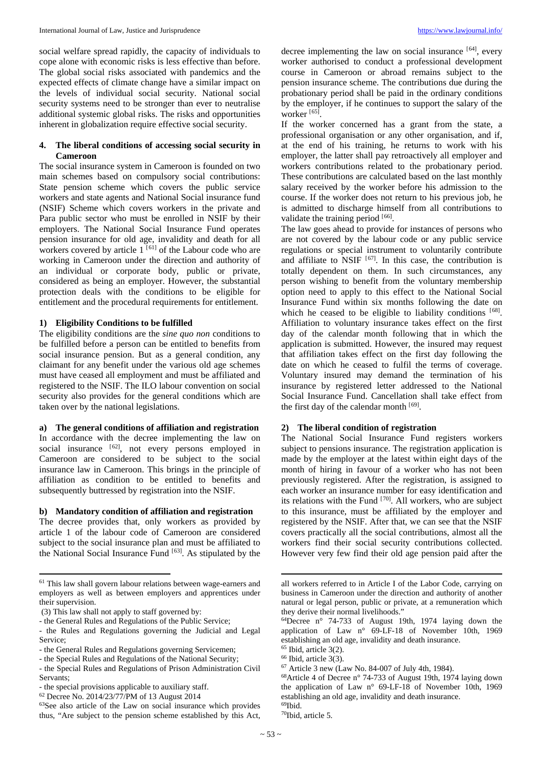social welfare spread rapidly, the capacity of individuals to cope alone with economic risks is less effective than before. The global social risks associated with pandemics and the expected effects of climate change have a similar impact on the levels of individual social security. National social security systems need to be stronger than ever to neutralise additional systemic global risks. The risks and opportunities inherent in globalization require effective social security.

# **4. The liberal conditions of accessing social security in Cameroon**

The social insurance system in Cameroon is founded on two main schemes based on compulsory social contributions: State pension scheme which covers the public service workers and state agents and National Social insurance fund (NSIF) Scheme which covers workers in the private and Para public sector who must be enrolled in NSIF by their employers. The National Social Insurance Fund operates pension insurance for old age, invalidity and death for all workers covered by article  $1^{[61]}$  $1^{[61]}$  $1^{[61]}$  of the Labour code who are working in Cameroon under the direction and authority of an individual or corporate body, public or private, considered as being an employer. However, the substantial protection deals with the conditions to be eligible for entitlement and the procedural requirements for entitlement.

## **1) Eligibility Conditions to be fulfilled**

The eligibility conditions are the *sine quo non* conditions to be fulfilled before a person can be entitled to benefits from social insurance pension. But as a general condition, any claimant for any benefit under the various old age schemes must have ceased all employment and must be affiliated and registered to the NSIF. The ILO labour convention on social security also provides for the general conditions which are taken over by the national legislations.

### **a) The general conditions of affiliation and registration**

In accordance with the decree implementing the law on social insurance <sup>[[62\]](#page-7-1)</sup>, not every persons employed in Cameroon are considered to be subject to the social insurance law in Cameroon. This brings in the principle of affiliation as condition to be entitled to benefits and subsequently buttressed by registration into the NSIF.

# **b) Mandatory condition of affiliation and registration**

The decree provides that, only workers as provided by article 1 of the labour code of Cameroon are considered subject to the social insurance plan and must be affiliated to the National Social Insurance Fund [[63\]](#page-7-2). As stipulated by the

 $\overline{\phantom{a}}$ 

decree implementing the law on social insurance <sup>[[64\]](#page-7-3)</sup>, every worker authorised to conduct a professional development course in Cameroon or abroad remains subject to the pension insurance scheme. The contributions due during the probationary period shall be paid in the ordinary conditions by the employer, if he continues to support the salary of the worker [[65](#page-7-4)].

If the worker concerned has a grant from the state, a professional organisation or any other organisation, and if, at the end of his training, he returns to work with his employer, the latter shall pay retroactively all employer and workers contributions related to the probationary period. These contributions are calculated based on the last monthly salary received by the worker before his admission to the course. If the worker does not return to his previous job, he is admitted to discharge himself from all contributions to validate the training period [[66\]](#page-7-5).

The law goes ahead to provide for instances of persons who are not covered by the labour code or any public service regulations or special instrument to voluntarily contribute and affiliate to NSIF  $[67]$  $[67]$ . In this case, the contribution is totally dependent on them. In such circumstances, any person wishing to benefit from the voluntary membership option need to apply to this effect to the National Social Insurance Fund within six months following the date on which he ceased to be eligible to liability conditions [[68\]](#page-7-7). Affiliation to voluntary insurance takes effect on the first day of the calendar month following that in which the application is submitted. However, the insured may request that affiliation takes effect on the first day following the date on which he ceased to fulfil the terms of coverage. Voluntary insured may demand the termination of his insurance by registered letter addressed to the National Social Insurance Fund. Cancellation shall take effect from the first day of the calendar month [[69\]](#page-7-2).

# **2) The liberal condition of registration**

The National Social Insurance Fund registers workers subject to pensions insurance. The registration application is made by the employer at the latest within eight days of the month of hiring in favour of a worker who has not been previously registered. After the registration, is assigned to each worker an insurance number for easy identification and its relations with the Fund  $[70]$  $[70]$ . All workers, who are subject to this insurance, must be affiliated by the employer and registered by the NSIF. After that, we can see that the NSIF covers practically all the social contributions, almost all the workers find their social security contributions collected. However very few find their old age pension paid after the

<span id="page-7-0"></span><sup>61</sup> This law shall govern labour relations between wage-earners and employers as well as between employers and apprentices under their supervision.

<sup>(3)</sup> This law shall not apply to staff governed by:

<span id="page-7-3"></span><sup>-</sup> the General Rules and Regulations of the Public Service;

<sup>-</sup> the Rules and Regulations governing the Judicial and Legal Service;

<span id="page-7-4"></span><sup>-</sup> the General Rules and Regulations governing Servicemen;

<span id="page-7-5"></span><sup>-</sup> the Special Rules and Regulations of the National Security;

<span id="page-7-7"></span><span id="page-7-6"></span><sup>-</sup> the Special Rules and Regulations of Prison Administration Civil Servants;

<sup>-</sup> the special provisions applicable to auxiliary staff.

<span id="page-7-1"></span><sup>62</sup> Decree No. 2014/23/77/PM of 13 August 2014

<span id="page-7-8"></span><span id="page-7-2"></span><sup>63</sup>See also article of the Law on social insurance which provides thus, "Are subject to the pension scheme established by this Act,

all workers referred to in Article I of the Labor Code, carrying on business in Cameroon under the direction and authority of another natural or legal person, public or private, at a remuneration which they derive their normal livelihoods."

<sup>64</sup>Decree n° 74-733 of August 19th, 1974 laying down the application of Law n° 69-LF-18 of November 10th, 1969 establishing an old age, invalidity and death insurance.<br><sup>65</sup> Ibid, article 3(2).

 $66$  Ibid, article 3(3).

<sup>67</sup> Article 3 new (Law No. 84-007 of July 4th, 1984).

<sup>68</sup>Article 4 of Decree n° 74-733 of August 19th, 1974 laying down the application of Law n° 69-LF-18 of November 10th, 1969 establishing an old age, invalidity and death insurance. 69Ibid.

<sup>70</sup>Ibid, article 5.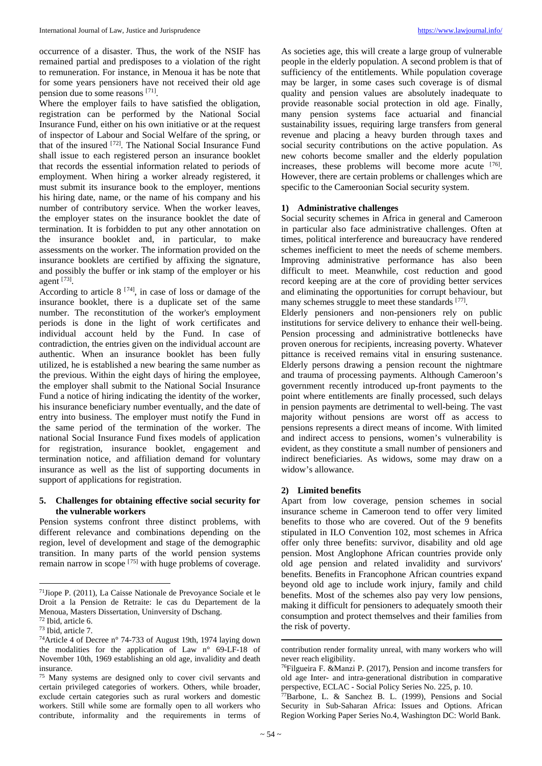occurrence of a disaster. Thus, the work of the NSIF has remained partial and predisposes to a violation of the right to remuneration. For instance, in Menoua it has be note that for some years pensioners have not received their old age pension due to some reasons [[71](#page-8-0)].

Where the employer fails to have satisfied the obligation, registration can be performed by the National Social Insurance Fund, either on his own initiative or at the request of inspector of Labour and Social Welfare of the spring, or that of the insured <sup>[[72\]](#page-8-1)</sup>. The National Social Insurance Fund shall issue to each registered person an insurance booklet that records the essential information related to periods of employment. When hiring a worker already registered, it must submit its insurance book to the employer, mentions his hiring date, name, or the name of his company and his number of contributory service. When the worker leaves, the employer states on the insurance booklet the date of termination. It is forbidden to put any other annotation on the insurance booklet and, in particular, to make assessments on the worker. The information provided on the insurance booklets are certified by affixing the signature, and possibly the buffer or ink stamp of the employer or his agent [[73](#page-8-2)].

According to article  $8^{[74]}$  $8^{[74]}$  $8^{[74]}$ , in case of loss or damage of the insurance booklet, there is a duplicate set of the same number. The reconstitution of the worker's employment periods is done in the light of work certificates and individual account held by the Fund. In case of contradiction, the entries given on the individual account are authentic. When an insurance booklet has been fully utilized, he is established a new bearing the same number as the previous. Within the eight days of hiring the employee, the employer shall submit to the National Social Insurance Fund a notice of hiring indicating the identity of the worker, his insurance beneficiary number eventually, and the date of entry into business. The employer must notify the Fund in the same period of the termination of the worker. The national Social Insurance Fund fixes models of application for registration, insurance booklet, engagement and termination notice, and affiliation demand for voluntary insurance as well as the list of supporting documents in support of applications for registration.

## **5. Challenges for obtaining effective social security for the vulnerable workers**

Pension systems confront three distinct problems, with different relevance and combinations depending on the region, level of development and stage of the demographic transition. In many parts of the world pension systems remain narrow in scope [[75\]](#page-8-4) with huge problems of coverage.

As societies age, this will create a large group of vulnerable people in the elderly population. A second problem is that of sufficiency of the entitlements. While population coverage may be larger, in some cases such coverage is of dismal quality and pension values are absolutely inadequate to provide reasonable social protection in old age. Finally, many pension systems face actuarial and financial sustainability issues, requiring large transfers from general revenue and placing a heavy burden through taxes and social security contributions on the active population. As new cohorts become smaller and the elderly population increases, these problems will become more acute [[76\]](#page-8-5). However, there are certain problems or challenges which are specific to the Cameroonian Social security system.

### **1) Administrative challenges**

Social security schemes in Africa in general and Cameroon in particular also face administrative challenges. Often at times, political interference and bureaucracy have rendered schemes inefficient to meet the needs of scheme members. Improving administrative performance has also been difficult to meet. Meanwhile, cost reduction and good record keeping are at the core of providing better services and eliminating the opportunities for corrupt behaviour, but many schemes struggle to meet these standards [[77\]](#page-8-6).

Elderly pensioners and non-pensioners rely on public institutions for service delivery to enhance their well-being. Pension processing and administrative bottlenecks have proven onerous for recipients, increasing poverty. Whatever pittance is received remains vital in ensuring sustenance. Elderly persons drawing a pension recount the nightmare and trauma of processing payments. Although Cameroon's government recently introduced up-front payments to the point where entitlements are finally processed, such delays in pension payments are detrimental to well-being. The vast majority without pensions are worst off as access to pensions represents a direct means of income. With limited and indirect access to pensions, women's vulnerability is evident, as they constitute a small number of pensioners and indirect beneficiaries. As widows, some may draw on a widow's allowance.

### **2) Limited benefits**

Apart from low coverage, pension schemes in social insurance scheme in Cameroon tend to offer very limited benefits to those who are covered. Out of the 9 benefits stipulated in ILO Convention 102, most schemes in Africa offer only three benefits: survivor, disability and old age pension. Most Anglophone African countries provide only old age pension and related invalidity and survivors' benefits. Benefits in Francophone African countries expand beyond old age to include work injury, family and child benefits. Most of the schemes also pay very low pensions, making it difficult for pensioners to adequately smooth their consumption and protect themselves and their families from the risk of poverty.

<span id="page-8-0"></span>l 71Jiope P. (2011), La Caisse Nationale de Prevoyance Sociale et le Droit a la Pension de Retraite: le cas du Departement de la Menoua, Masters Dissertation, Uninversity of Dschang.<br><sup>72</sup> Ibid. article 6.

<span id="page-8-1"></span>

<span id="page-8-3"></span><span id="page-8-2"></span><sup>&</sup>lt;sup>73</sup> Ibid, article 7.<br><sup>74</sup>Article 4 of Decree n° 74-733 of August 19th, 1974 laying down the modalities for the application of Law n° 69-LF-18 of November 10th, 1969 establishing an old age, invalidity and death insurance.

<span id="page-8-6"></span><span id="page-8-5"></span><span id="page-8-4"></span><sup>75</sup> Many systems are designed only to cover civil servants and certain privileged categories of workers. Others, while broader, exclude certain categories such as rural workers and domestic workers. Still while some are formally open to all workers who contribute, informality and the requirements in terms of

contribution render formality unreal, with many workers who will never reach eligibility.

<sup>76</sup>Filgueira F. &Manzi P. (2017), Pension and income transfers for old age Inter- and intra-generational distribution in comparative

 $^{77}$ Barbone, L. & Sanchez B. L. (1999), Pensions and Social Security in Sub-Saharan Africa: Issues and Options. African Region Working Paper Series No.4, Washington DC: World Bank.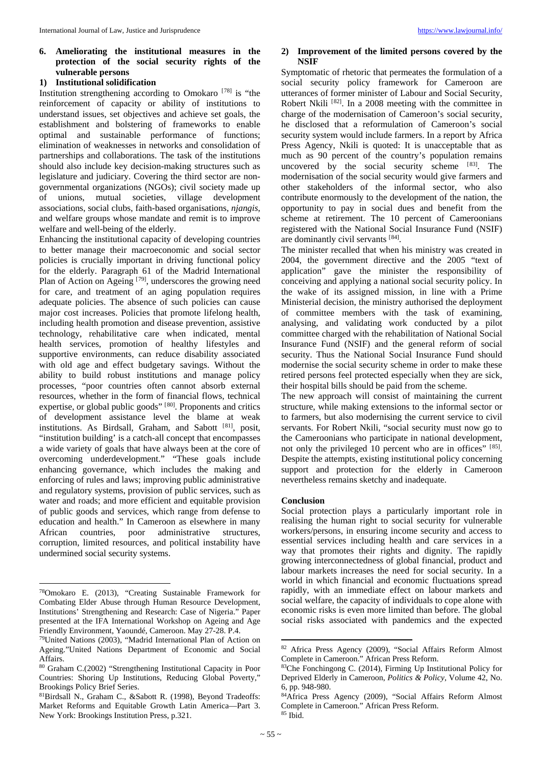# **6. Ameliorating the institutional measures in the protection of the social security rights of the vulnerable persons**

### **1) Institutional solidification**

Institution strengthening according to Omokaro [[78\]](#page-9-0) is "the reinforcement of capacity or ability of institutions to understand issues, set objectives and achieve set goals, the establishment and bolstering of frameworks to enable optimal and sustainable performance of functions; elimination of weaknesses in networks and consolidation of partnerships and collaborations. The task of the institutions should also include key decision-making structures such as legislature and judiciary. Covering the third sector are nongovernmental organizations (NGOs); civil society made up of unions, mutual societies, village development associations, social clubs, faith-based organisations, *njangis*, and welfare groups whose mandate and remit is to improve welfare and well-being of the elderly.

Enhancing the institutional capacity of developing countries to better manage their macroeconomic and social sector policies is crucially important in driving functional policy for the elderly. Paragraph 61 of the Madrid International Plan of Action on Ageing <sup>[[79\]](#page-9-1)</sup>, underscores the growing need for care, and treatment of an aging population requires adequate policies. The absence of such policies can cause major cost increases. Policies that promote lifelong health, including health promotion and disease prevention, assistive technology, rehabilitative care when indicated, mental health services, promotion of healthy lifestyles and supportive environments, can reduce disability associated with old age and effect budgetary savings. Without the ability to build robust institutions and manage policy processes, "poor countries often cannot absorb external resources, whether in the form of financial flows, technical expertise, or global public goods"<sup>[[80](#page-9-2)]</sup>. Proponents and critics of development assistance level the blame at weak institutions. As Birdsall, Graham, and Sabott [[81\]](#page-9-3), posit, "institution building' is a catch-all concept that encompasses a wide variety of goals that have always been at the core of overcoming underdevelopment." "These goals include enhancing governance, which includes the making and enforcing of rules and laws; improving public administrative and regulatory systems, provision of public services, such as water and roads; and more efficient and equitable provision of public goods and services, which range from defense to education and health." In Cameroon as elsewhere in many African countries, poor administrative structures, corruption, limited resources, and political instability have undermined social security systems.

l

### **2) Improvement of the limited persons covered by the NSIF**

Symptomatic of rhetoric that permeates the formulation of a social security policy framework for Cameroon are utterances of former minister of Labour and Social Security, Robert Nkili<sup>[[82](#page-9-4)]</sup>. In a 2008 meeting with the committee in charge of the modernisation of Cameroon's social security, he disclosed that a reformulation of Cameroon's social security system would include farmers. In a report by Africa Press Agency, Nkili is quoted: It is unacceptable that as much as 90 percent of the country's population remains uncovered by the social security scheme  $[83]$  $[83]$ . The modernisation of the social security would give farmers and other stakeholders of the informal sector, who also contribute enormously to the development of the nation, the opportunity to pay in social dues and benefit from the scheme at retirement. The 10 percent of Cameroonians registered with the National Social Insurance Fund (NSIF) are dominantly civil servants [[84\]](#page-9-3).

The minister recalled that when his ministry was created in 2004, the government directive and the 2005 "text of application" gave the minister the responsibility of conceiving and applying a national social security policy. In the wake of its assigned mission, in line with a Prime Ministerial decision, the ministry authorised the deployment of committee members with the task of examining, analysing, and validating work conducted by a pilot committee charged with the rehabilitation of National Social Insurance Fund (NSIF) and the general reform of social security. Thus the National Social Insurance Fund should modernise the social security scheme in order to make these retired persons feel protected especially when they are sick, their hospital bills should be paid from the scheme.

The new approach will consist of maintaining the current structure, while making extensions to the informal sector or to farmers, but also modernising the current service to civil servants. For Robert Nkili, "social security must now go to the Cameroonians who participate in national development, not only the privileged 10 percent who are in offices" [[85\]](#page-9-5). Despite the attempts, existing institutional policy concerning support and protection for the elderly in Cameroon nevertheless remains sketchy and inadequate.

#### **Conclusion**

Social protection plays a particularly important role in realising the human right to social security for vulnerable workers/persons, in ensuring income security and access to essential services including health and care services in a way that promotes their rights and dignity. The rapidly growing interconnectedness of global financial, product and labour markets increases the need for social security. In a world in which financial and economic fluctuations spread rapidly, with an immediate effect on labour markets and social welfare, the capacity of individuals to cope alone with economic risks is even more limited than before. The global social risks associated with pandemics and the expected

<span id="page-9-0"></span><sup>78</sup>Omokaro E. (2013), "Creating Sustainable Framework for Combating Elder Abuse through Human Resource Development, Institutions' Strengthening and Research: Case of Nigeria." Paper presented at the IFA International Workshop on Ageing and Age Friendly Environment, Yaoundé, Cameroon. May 27-28. P.4.

<span id="page-9-4"></span><span id="page-9-1"></span><sup>79</sup>United Nations (2003), "Madrid International Plan of Action on Ageing."United Nations Department of Economic and Social Affairs.

<span id="page-9-2"></span><sup>80</sup> Graham C.(2002) "Strengthening Institutional Capacity in Poor Countries: Shoring Up Institutions, Reducing Global Poverty," Brookings Policy Brief Series.

<span id="page-9-5"></span><span id="page-9-3"></span><sup>81</sup>Birdsall N., Graham C., &Sabott R. (1998), Beyond Tradeoffs: Market Reforms and Equitable Growth Latin America—Part 3. New York: Brookings Institution Press, p.321.

<sup>82</sup> Africa Press Agency (2009), "Social Affairs Reform Almost Complete in Cameroon." African Press Reform.

<sup>83</sup>Che Fonchingong C. (2014), Firming Up Institutional Policy for Deprived Elderly in Cameroon, *Politics & Policy*, Volume 42, No. 6, pp. 948-980.

<sup>84</sup>Africa Press Agency (2009), "Social Affairs Reform Almost Complete in Cameroon." African Press Reform. <sup>85</sup> Ibid.